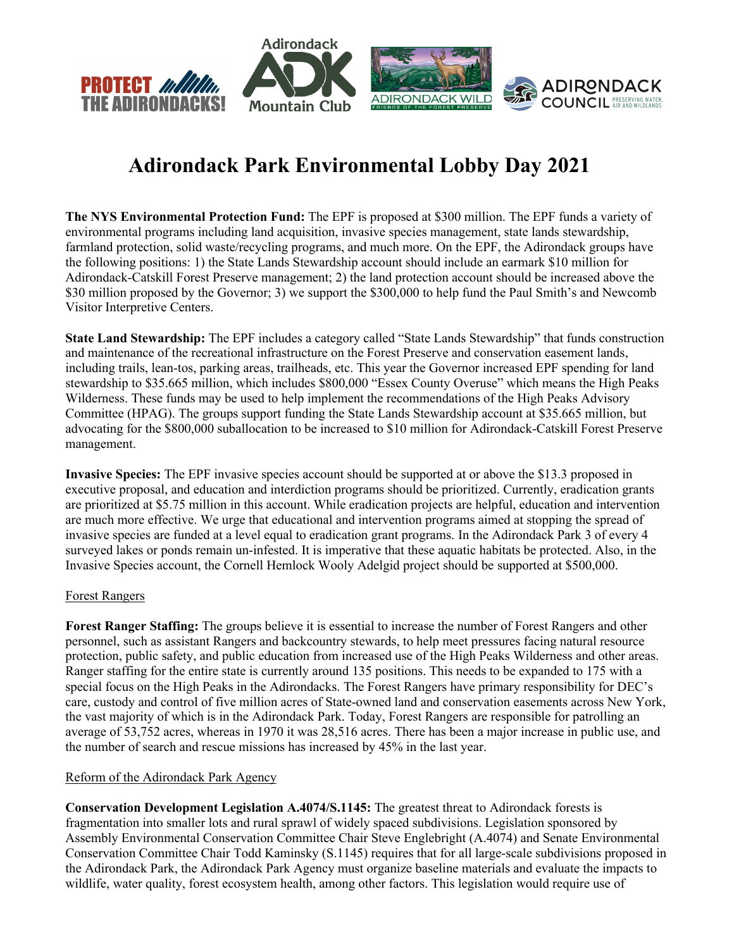

# **Adirondack Park Environmental Lobby Day 2021**

**The NYS Environmental Protection Fund:** The EPF is proposed at \$300 million. The EPF funds a variety of environmental programs including land acquisition, invasive species management, state lands stewardship, farmland protection, solid waste/recycling programs, and much more. On the EPF, the Adirondack groups have the following positions: 1) the State Lands Stewardship account should include an earmark \$10 million for Adirondack-Catskill Forest Preserve management; 2) the land protection account should be increased above the \$30 million proposed by the Governor; 3) we support the \$300,000 to help fund the Paul Smith's and Newcomb Visitor Interpretive Centers.

**State Land Stewardship:** The EPF includes a category called "State Lands Stewardship" that funds construction and maintenance of the recreational infrastructure on the Forest Preserve and conservation easement lands, including trails, lean-tos, parking areas, trailheads, etc. This year the Governor increased EPF spending for land stewardship to \$35.665 million, which includes \$800,000 "Essex County Overuse" which means the High Peaks Wilderness. These funds may be used to help implement the recommendations of the High Peaks Advisory Committee (HPAG). The groups support funding the State Lands Stewardship account at \$35.665 million, but advocating for the \$800,000 suballocation to be increased to \$10 million for Adirondack-Catskill Forest Preserve management.

**Invasive Species:** The EPF invasive species account should be supported at or above the \$13.3 proposed in executive proposal, and education and interdiction programs should be prioritized. Currently, eradication grants are prioritized at \$5.75 million in this account. While eradication projects are helpful, education and intervention are much more effective. We urge that educational and intervention programs aimed at stopping the spread of invasive species are funded at a level equal to eradication grant programs. In the Adirondack Park 3 of every 4 surveyed lakes or ponds remain un-infested. It is imperative that these aquatic habitats be protected. Also, in the Invasive Species account, the Cornell Hemlock Wooly Adelgid project should be supported at \$500,000.

### Forest Rangers

**Forest Ranger Staffing:** The groups believe it is essential to increase the number of Forest Rangers and other personnel, such as assistant Rangers and backcountry stewards, to help meet pressures facing natural resource protection, public safety, and public education from increased use of the High Peaks Wilderness and other areas. Ranger staffing for the entire state is currently around 135 positions. This needs to be expanded to 175 with a special focus on the High Peaks in the Adirondacks. The Forest Rangers have primary responsibility for DEC's care, custody and control of five million acres of State-owned land and conservation easements across New York, the vast majority of which is in the Adirondack Park. Today, Forest Rangers are responsible for patrolling an average of 53,752 acres, whereas in 1970 it was 28,516 acres. There has been a major increase in public use, and the number of search and rescue missions has increased by 45% in the last year.

### Reform of the Adirondack Park Agency

**Conservation Development Legislation A.4074/S.1145:** The greatest threat to Adirondack forests is fragmentation into smaller lots and rural sprawl of widely spaced subdivisions. Legislation sponsored by Assembly Environmental Conservation Committee Chair Steve Englebright (A.4074) and Senate Environmental Conservation Committee Chair Todd Kaminsky (S.1145) requires that for all large-scale subdivisions proposed in the Adirondack Park, the Adirondack Park Agency must organize baseline materials and evaluate the impacts to wildlife, water quality, forest ecosystem health, among other factors. This legislation would require use of